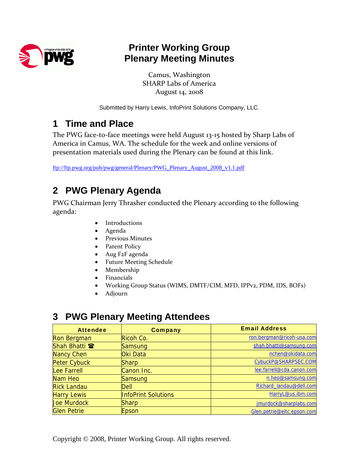

## **Printer Working Group Plenary Meeting Minutes**

Camus, Washington SHARP Labs of America August 14, 2008

Submitted by Harry Lewis, InfoPrint Solutions Company, LLC.

## **1 Time and Place**

The PWG face-to-face meetings were held August 13-15 hosted by Sharp Labs of America in Camus, WA. The schedule for the week and online versions of presentation materials used during the Plenary can be found at this link.

[ftp://ftp.pwg.org/pub/pwg/general/Plenary/PWG\\_Plenary\\_August\\_2008\\_v1.1.pdf](ftp://ftp.pwg.org/pub/pwg/general/Plenary/PWG_Plenary_August_2008_v1.1.pdfl)

## **2 PWG Plenary Agenda**

PWG Chairman Jerry Thrasher conducted the Plenary according to the following agenda:

- Introductions
- Agenda
- Previous Minutes
- Patent Policy
- Aug F2F agenda
- Future Meeting Schedule
- Membership
- Financials
- Working Group Status (WIMS, DMTF/CIM, MFD, IPPv2, PDM, IDS, BOFs)
- Adjourn

### **3 PWG Plenary Meeting Attendees**

| <b>Attendee</b>          | <b>Company</b>             | <b>Email Address</b>       |
|--------------------------|----------------------------|----------------------------|
| <b>Ron Bergman</b>       | Ricoh Co.                  | ron.bergman@ricoh-usa.com  |
| Shah Bhatti <sup>®</sup> | Samsung                    | shah.bhatti@samsung.com    |
| <b>Nancy Chen</b>        | Oki Data                   | nchen@okidata.com          |
| <b>Peter Cybuck</b>      | <b>Sharp</b>               | CybuckP@SHARPSEC.COM       |
| <b>Lee Farrell</b>       | Canon Inc.                 | lee.farrell@cda.canon.com  |
| Nam Heo                  | Samsung                    | n.heo@samsung.com          |
| <b>Rick Landau</b>       | Dell                       | Richard_landau@dell.com    |
| <b>Harry Lewis</b>       | <b>InfoPrint Solutions</b> | HarryL@us.ibm.com          |
| <b>Joe Murdock</b>       | Sharp                      | jmurdock@sharplabs.com     |
| <b>Glen Petrie</b>       | Epson                      | Glen.petrie@eitc.epson.com |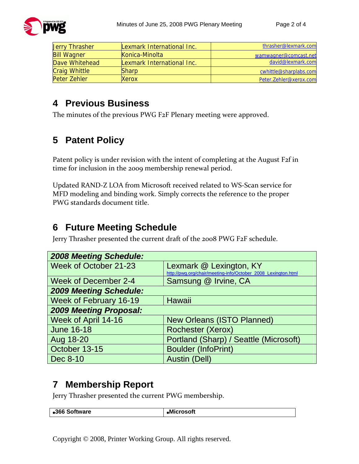

| <b>Jerry Thrasher</b> | Lexmark International Inc. | thrasher@lexmark.com   |
|-----------------------|----------------------------|------------------------|
| <b>Bill Wagner</b>    | Konica-Minolta             | wamwagner@comcast.net  |
| Dave Whitehead        | Lexmark International Inc. | david@lexmark.com      |
| <b>Craig Whittle</b>  | <b>Sharp</b>               | cwhittle@sharplabs.com |
| Peter Zehler          | <b>Xerox</b>               | Peter.Zehler@xerox.com |

#### **4 Previous Business**

The minutes of the previous PWG F2F Plenary meeting were approved.

## **5 Patent Policy**

Patent policy is under revision with the intent of completing at the August F2f in time for inclusion in the 2009 membership renewal period.

Updated RAND-Z LOA from Microsoft received related to WS-Scan service for MFD modeling and binding work. Simply corrects the reference to the proper PWG standards document title.

### **6 Future Meeting Schedule**

Jerry Thrasher presented the current draft of the 2008 PWG F2F schedule.

| <b>2008 Meeting Schedule:</b> |                                                                                          |  |
|-------------------------------|------------------------------------------------------------------------------------------|--|
| Week of October 21-23         | Lexmark @ Lexington, KY<br>http://pwg.org/chair/meeting-info/October_2008_Lexington.html |  |
| <b>Week of December 2-4</b>   | Samsung @ Irvine, CA                                                                     |  |
| <b>2009 Meeting Schedule:</b> |                                                                                          |  |
| <b>Week of February 16-19</b> | <b>Hawaii</b>                                                                            |  |
| <b>2009 Meeting Proposal:</b> |                                                                                          |  |
| Week of April 14-16           | <b>New Orleans (ISTO Planned)</b>                                                        |  |
| <b>June 16-18</b>             | <b>Rochester (Xerox)</b>                                                                 |  |
| Aug 18-20                     | Portland (Sharp) / Seattle (Microsoft)                                                   |  |
| October 13-15                 | <b>Boulder (InfoPrint)</b>                                                               |  |
| Dec 8-10                      | <b>Austin (Dell)</b>                                                                     |  |

### **7 Membership Report**

Jerry Thrasher presented the current PWG membership.

Copyright © 2008, Printer Working Group. All rights reserved.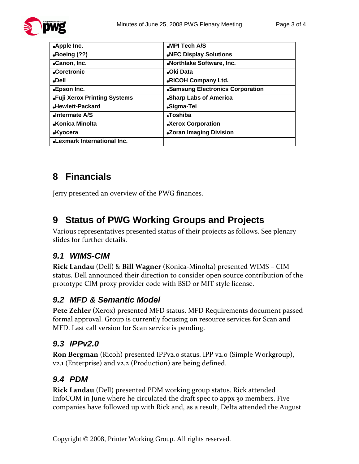

| .Apple Inc.                        | .MPI Tech A/S                    |
|------------------------------------|----------------------------------|
| $\bullet$ Boeing (??)              | .NEC Display Solutions           |
| •Canon, Inc.                       | .Northlake Software, Inc.        |
| •Coretronic                        | •Oki Data                        |
| <b>Dell</b>                        | <b>.RICOH Company Ltd.</b>       |
| •Epson Inc.                        | •Samsung Electronics Corporation |
| .Fuji Xerox Printing Systems       | .Sharp Labs of America           |
| •Hewlett-Packard                   | •Sigma-Tel                       |
| Intermate A/S                      | •Toshiba                         |
| •Konica Minolta                    | <b>.Xerox Corporation</b>        |
| <b>.Kyocera</b>                    | .Zoran Imaging Division          |
| <b>.Lexmark International Inc.</b> |                                  |

## **8 Financials**

Jerry presented an overview of the PWG finances.

## **9 Status of PWG Working Groups and Projects**

Various representatives presented status of their projects as follows. See plenary slides for further details.

#### *9.1 WIMS-CIM*

**Rick Landau** (Dell) & **Bill Wagner** (Konica-Minolta) presented WIMS – CIM status. Dell announced their direction to consider open source contribution of the prototype CIM proxy provider code with BSD or MIT style license.

#### *9.2 MFD & Semantic Model*

**Pete Zehler** (Xerox) presented MFD status. MFD Requirements document passed formal approval. Group is currently focusing on resource services for Scan and MFD. Last call version for Scan service is pending.

#### *9.3 IPPv2.0*

**Ron Bergman** (Ricoh) presented IPPv2.0 status. IPP v2.0 (Simple Workgroup), v2.1 (Enterprise) and v2.2 (Production) are being defined.

#### *9.4 PDM*

**Rick Landau** (Dell) presented PDM working group status. Rick attended InfoCOM in June where he circulated the draft spec to appx 30 members. Five companies have followed up with Rick and, as a result, Delta attended the August